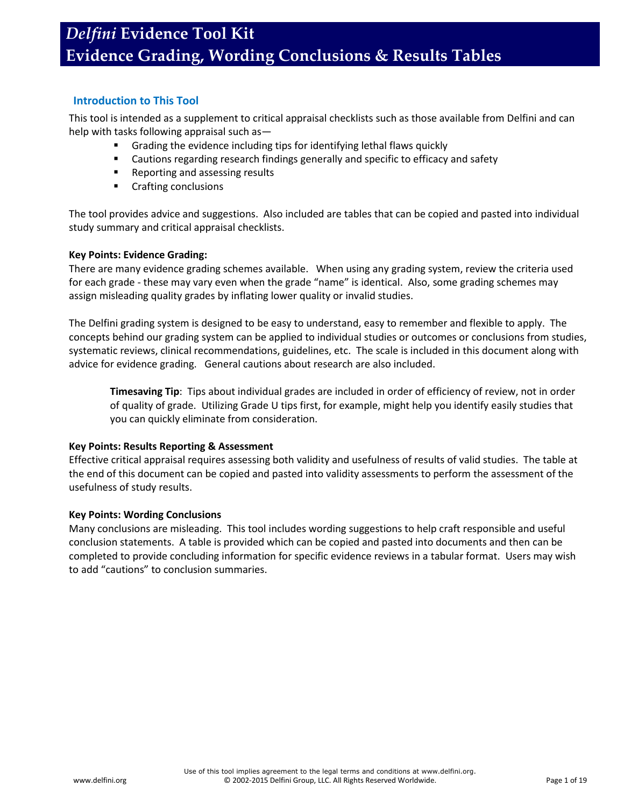### **Introduction to This Tool**

This tool is intended as a supplement to critical appraisal checklists such as those available from Delfini and can help with tasks following appraisal such as—

- Grading the evidence including tips for identifying lethal flaws quickly
- Cautions regarding research findings generally and specific to efficacy and safety
- Reporting and assessing results
- **•** Crafting conclusions

The tool provides advice and suggestions. Also included are tables that can be copied and pasted into individual study summary and critical appraisal checklists.

### **Key Points: Evidence Grading:**

There are many evidence grading schemes available. When using any grading system, review the criteria used for each grade - these may vary even when the grade "name" is identical. Also, some grading schemes may assign misleading quality grades by inflating lower quality or invalid studies.

The Delfini grading system is designed to be easy to understand, easy to remember and flexible to apply. The concepts behind our grading system can be applied to individual studies or outcomes or conclusions from studies, systematic reviews, clinical recommendations, guidelines, etc. The scale is included in this document along with advice for evidence grading. General cautions about research are also included.

**Timesaving Tip**: Tips about individual grades are included in order of efficiency of review, not in order of quality of grade. Utilizing Grade U tips first, for example, might help you identify easily studies that you can quickly eliminate from consideration.

### **Key Points: Results Reporting & Assessment**

Effective critical appraisal requires assessing both validity and usefulness of results of valid studies. The table at the end of this document can be copied and pasted into validity assessments to perform the assessment of the usefulness of study results.

### **Key Points: Wording Conclusions**

Many conclusions are misleading. This tool includes wording suggestions to help craft responsible and useful conclusion statements. A table is provided which can be copied and pasted into documents and then can be completed to provide concluding information for specific evidence reviews in a tabular format. Users may wish to add "cautions" to conclusion summaries.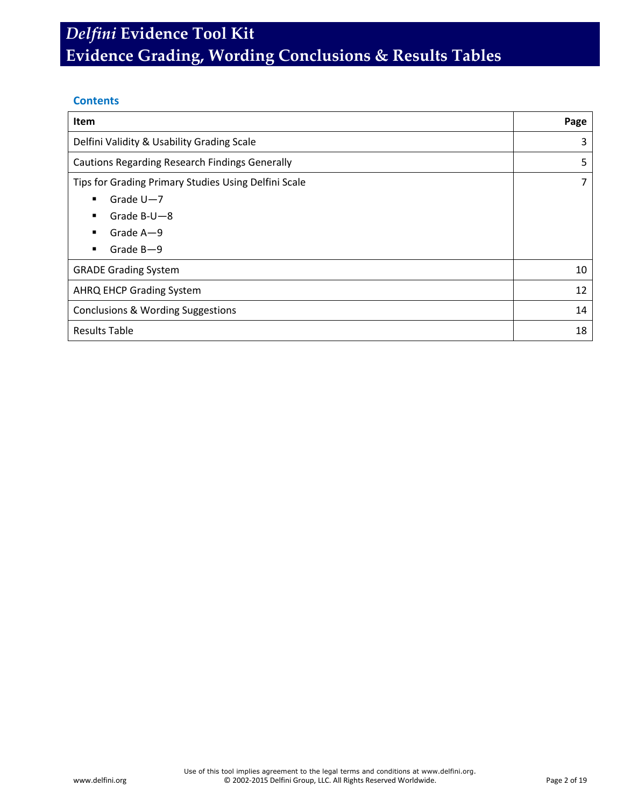### **Contents**

| <b>Item</b>                                           | Page |
|-------------------------------------------------------|------|
| Delfini Validity & Usability Grading Scale            | 3    |
| <b>Cautions Regarding Research Findings Generally</b> | 5    |
| Tips for Grading Primary Studies Using Delfini Scale  | 7    |
| Grade $U - 7$<br>$\blacksquare$                       |      |
| Grade $B-U-8$<br>п                                    |      |
| Grade $A - 9$                                         |      |
| Grade $B - 9$<br>٠                                    |      |
| <b>GRADE Grading System</b>                           | 10   |
| <b>AHRQ EHCP Grading System</b>                       | 12   |
| Conclusions & Wording Suggestions                     | 14   |
| <b>Results Table</b>                                  | 18   |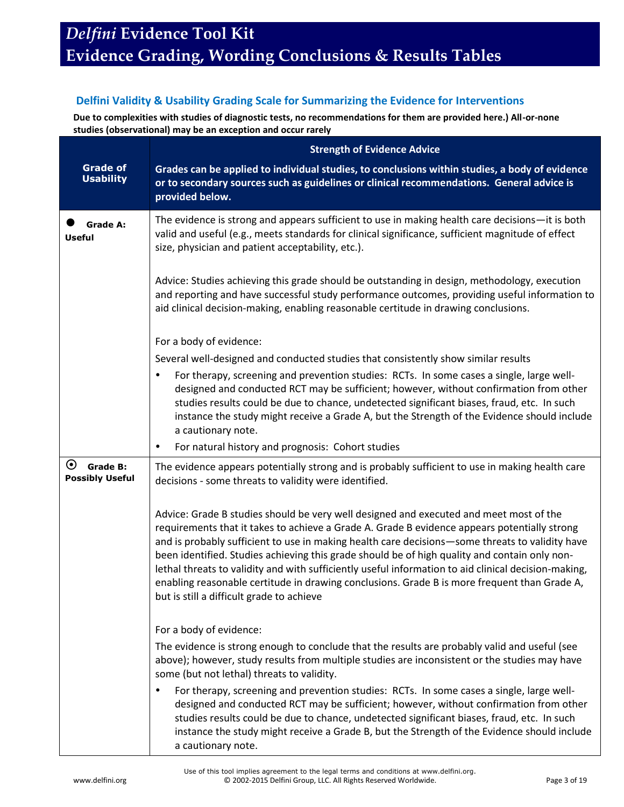## **Delfini Validity & Usability Grading Scale for Summarizing the Evidence for Interventions**

**Due to complexities with studies of diagnostic tests, no recommendations for them are provided here.) All-or-none studies (observational) may be an exception and occur rarely**

|                                                                   | <b>Strength of Evidence Advice</b>                                                                                                                                                                                                                                                                                                                                                                                                                                                                                                                                                                                                              |
|-------------------------------------------------------------------|-------------------------------------------------------------------------------------------------------------------------------------------------------------------------------------------------------------------------------------------------------------------------------------------------------------------------------------------------------------------------------------------------------------------------------------------------------------------------------------------------------------------------------------------------------------------------------------------------------------------------------------------------|
| <b>Grade of</b><br><b>Usability</b>                               | Grades can be applied to individual studies, to conclusions within studies, a body of evidence<br>or to secondary sources such as guidelines or clinical recommendations. General advice is<br>provided below.                                                                                                                                                                                                                                                                                                                                                                                                                                  |
| <b>Grade A:</b><br><b>Useful</b>                                  | The evidence is strong and appears sufficient to use in making health care decisions-it is both<br>valid and useful (e.g., meets standards for clinical significance, sufficient magnitude of effect<br>size, physician and patient acceptability, etc.).                                                                                                                                                                                                                                                                                                                                                                                       |
|                                                                   | Advice: Studies achieving this grade should be outstanding in design, methodology, execution<br>and reporting and have successful study performance outcomes, providing useful information to<br>aid clinical decision-making, enabling reasonable certitude in drawing conclusions.                                                                                                                                                                                                                                                                                                                                                            |
|                                                                   | For a body of evidence:                                                                                                                                                                                                                                                                                                                                                                                                                                                                                                                                                                                                                         |
|                                                                   | Several well-designed and conducted studies that consistently show similar results                                                                                                                                                                                                                                                                                                                                                                                                                                                                                                                                                              |
|                                                                   | For therapy, screening and prevention studies: RCTs. In some cases a single, large well-<br>$\bullet$<br>designed and conducted RCT may be sufficient; however, without confirmation from other<br>studies results could be due to chance, undetected significant biases, fraud, etc. In such<br>instance the study might receive a Grade A, but the Strength of the Evidence should include<br>a cautionary note.                                                                                                                                                                                                                              |
|                                                                   | For natural history and prognosis: Cohort studies<br>$\bullet$                                                                                                                                                                                                                                                                                                                                                                                                                                                                                                                                                                                  |
| $\boldsymbol{\odot}$<br><b>Grade B:</b><br><b>Possibly Useful</b> | The evidence appears potentially strong and is probably sufficient to use in making health care<br>decisions - some threats to validity were identified.                                                                                                                                                                                                                                                                                                                                                                                                                                                                                        |
|                                                                   | Advice: Grade B studies should be very well designed and executed and meet most of the<br>requirements that it takes to achieve a Grade A. Grade B evidence appears potentially strong<br>and is probably sufficient to use in making health care decisions-some threats to validity have<br>been identified. Studies achieving this grade should be of high quality and contain only non-<br>lethal threats to validity and with sufficiently useful information to aid clinical decision-making,<br>enabling reasonable certitude in drawing conclusions. Grade B is more frequent than Grade A,<br>but is still a difficult grade to achieve |
|                                                                   | For a body of evidence:                                                                                                                                                                                                                                                                                                                                                                                                                                                                                                                                                                                                                         |
|                                                                   | The evidence is strong enough to conclude that the results are probably valid and useful (see<br>above); however, study results from multiple studies are inconsistent or the studies may have<br>some (but not lethal) threats to validity.                                                                                                                                                                                                                                                                                                                                                                                                    |
|                                                                   | For therapy, screening and prevention studies: RCTs. In some cases a single, large well-<br>$\bullet$<br>designed and conducted RCT may be sufficient; however, without confirmation from other<br>studies results could be due to chance, undetected significant biases, fraud, etc. In such<br>instance the study might receive a Grade B, but the Strength of the Evidence should include<br>a cautionary note.                                                                                                                                                                                                                              |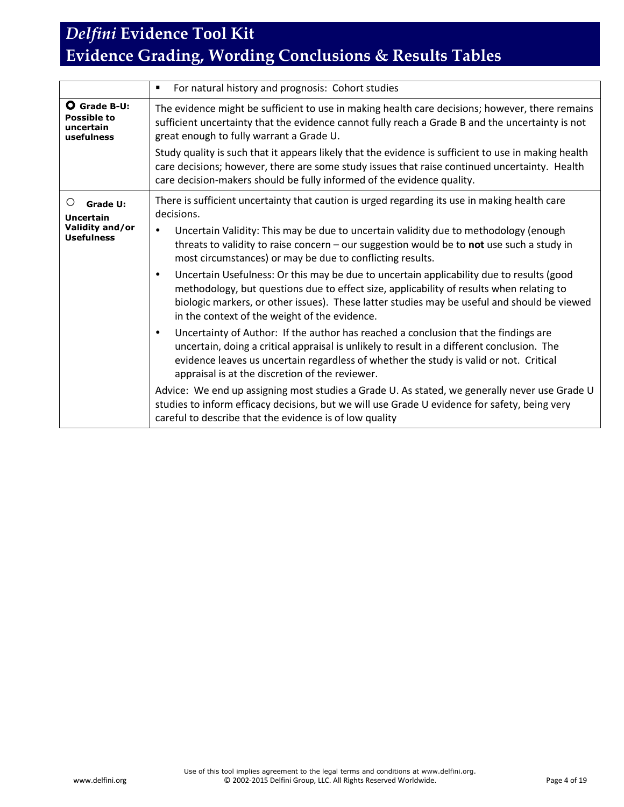|                                                                                  | For natural history and prognosis: Cohort studies                                                                                                                                                                                                                                                                                                                                                                                                                                                                                                                                                                                                                                                                                                                                                                                                                                                                                                                                                                                                                 |
|----------------------------------------------------------------------------------|-------------------------------------------------------------------------------------------------------------------------------------------------------------------------------------------------------------------------------------------------------------------------------------------------------------------------------------------------------------------------------------------------------------------------------------------------------------------------------------------------------------------------------------------------------------------------------------------------------------------------------------------------------------------------------------------------------------------------------------------------------------------------------------------------------------------------------------------------------------------------------------------------------------------------------------------------------------------------------------------------------------------------------------------------------------------|
| <b>O</b> Grade B-U:<br>Possible to<br>uncertain<br>usefulness                    | The evidence might be sufficient to use in making health care decisions; however, there remains<br>sufficient uncertainty that the evidence cannot fully reach a Grade B and the uncertainty is not<br>great enough to fully warrant a Grade U.                                                                                                                                                                                                                                                                                                                                                                                                                                                                                                                                                                                                                                                                                                                                                                                                                   |
|                                                                                  | Study quality is such that it appears likely that the evidence is sufficient to use in making health<br>care decisions; however, there are some study issues that raise continued uncertainty. Health<br>care decision-makers should be fully informed of the evidence quality.                                                                                                                                                                                                                                                                                                                                                                                                                                                                                                                                                                                                                                                                                                                                                                                   |
| Ő<br><b>Grade U:</b><br><b>Uncertain</b><br>Validity and/or<br><b>Usefulness</b> | There is sufficient uncertainty that caution is urged regarding its use in making health care<br>decisions.<br>Uncertain Validity: This may be due to uncertain validity due to methodology (enough<br>threats to validity to raise concern - our suggestion would be to not use such a study in<br>most circumstances) or may be due to conflicting results.<br>Uncertain Usefulness: Or this may be due to uncertain applicability due to results (good<br>$\bullet$<br>methodology, but questions due to effect size, applicability of results when relating to<br>biologic markers, or other issues). These latter studies may be useful and should be viewed<br>in the context of the weight of the evidence.<br>Uncertainty of Author: If the author has reached a conclusion that the findings are<br>$\bullet$<br>uncertain, doing a critical appraisal is unlikely to result in a different conclusion. The<br>evidence leaves us uncertain regardless of whether the study is valid or not. Critical<br>appraisal is at the discretion of the reviewer. |
|                                                                                  | Advice: We end up assigning most studies a Grade U. As stated, we generally never use Grade U<br>studies to inform efficacy decisions, but we will use Grade U evidence for safety, being very<br>careful to describe that the evidence is of low quality                                                                                                                                                                                                                                                                                                                                                                                                                                                                                                                                                                                                                                                                                                                                                                                                         |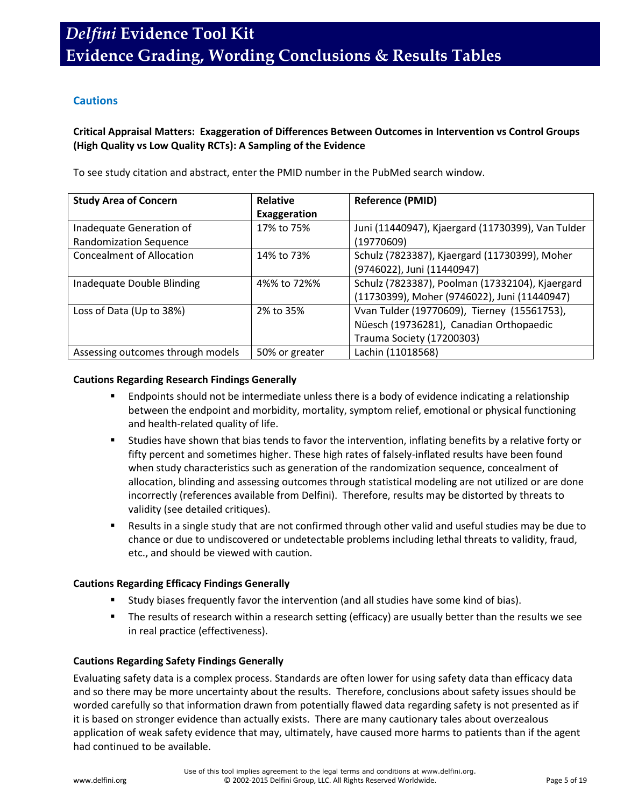## **Cautions**

### **Critical Appraisal Matters: Exaggeration of Differences Between Outcomes in Intervention vs Control Groups (High Quality vs Low Quality RCTs): A Sampling of the Evidence**

To see study citation and abstract, enter the PMID number in the PubMed search window.

| <b>Study Area of Concern</b>                              | <b>Relative</b><br>Exaggeration | <b>Reference (PMID)</b>                                                                                             |
|-----------------------------------------------------------|---------------------------------|---------------------------------------------------------------------------------------------------------------------|
| Inadequate Generation of<br><b>Randomization Sequence</b> | 17% to 75%                      | Juni (11440947), Kjaergard (11730399), Van Tulder<br>(19770609)                                                     |
| <b>Concealment of Allocation</b>                          | 14% to 73%                      | Schulz (7823387), Kjaergard (11730399), Moher<br>(9746022), Juni (11440947)                                         |
| Inadequate Double Blinding                                | 4%% to 72%%                     | Schulz (7823387), Poolman (17332104), Kjaergard<br>(11730399), Moher (9746022), Juni (11440947)                     |
| Loss of Data (Up to 38%)                                  | 2% to 35%                       | Vvan Tulder (19770609), Tierney (15561753),<br>Nüesch (19736281), Canadian Orthopaedic<br>Trauma Society (17200303) |
| Assessing outcomes through models                         | 50% or greater                  | Lachin (11018568)                                                                                                   |

### **Cautions Regarding Research Findings Generally**

- Endpoints should not be intermediate unless there is a body of evidence indicating a relationship between the endpoint and morbidity, mortality, symptom relief, emotional or physical functioning and health-related quality of life.
- Studies have shown that bias tends to favor the intervention, inflating benefits by a relative forty or fifty percent and sometimes higher. These high rates of falsely-inflated results have been found when study characteristics such as generation of the randomization sequence, concealment of allocation, blinding and assessing outcomes through statistical modeling are not utilized or are done incorrectly (references available from Delfini). Therefore, results may be distorted by threats to validity (see detailed critiques).
- Results in a single study that are not confirmed through other valid and useful studies may be due to chance or due to undiscovered or undetectable problems including lethal threats to validity, fraud, etc., and should be viewed with caution.

### **Cautions Regarding Efficacy Findings Generally**

- Study biases frequently favor the intervention (and all studies have some kind of bias).
- **The results of research within a research setting (efficacy) are usually better than the results we see** in real practice (effectiveness).

### **Cautions Regarding Safety Findings Generally**

Evaluating safety data is a complex process. Standards are often lower for using safety data than efficacy data and so there may be more uncertainty about the results. Therefore, conclusions about safety issues should be worded carefully so that information drawn from potentially flawed data regarding safety is not presented as if it is based on stronger evidence than actually exists. There are many cautionary tales about overzealous application of weak safety evidence that may, ultimately, have caused more harms to patients than if the agent had continued to be available.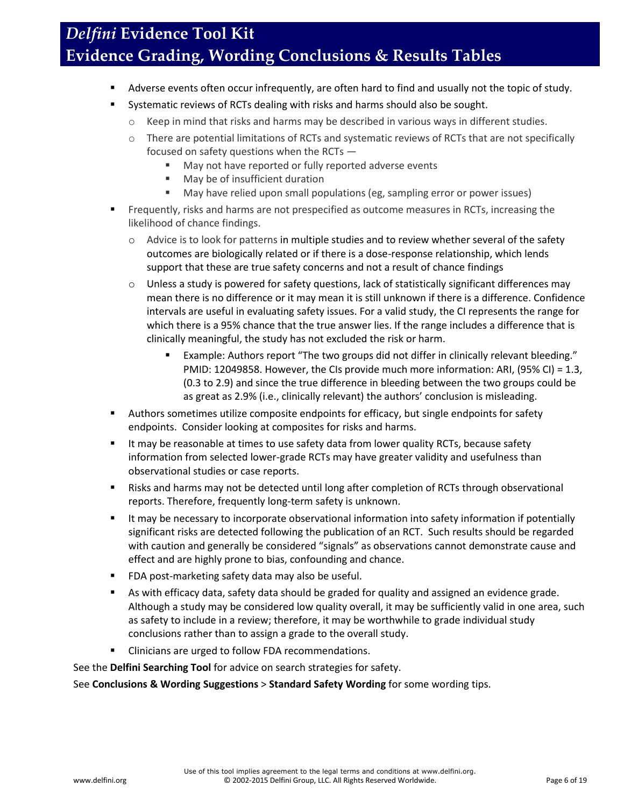- Adverse events often occur infrequently, are often hard to find and usually not the topic of study.
- **Systematic reviews of RCTs dealing with risks and harms should also be sought.** 
	- $\circ$  Keep in mind that risks and harms may be described in various ways in different studies.
	- o There are potential limitations of RCTs and systematic reviews of RCTs that are not specifically focused on safety questions when the RCTs —
		- May not have reported or fully reported adverse events
		- **May be of insufficient duration**
		- May have relied upon small populations (eg, sampling error or power issues)
- Frequently, risks and harms are not prespecified as outcome measures in RCTs, increasing the likelihood of chance findings.
	- o Advice is to look for patterns in multiple studies and to review whether several of the safety outcomes are biologically related or if there is a dose-response relationship, which lends support that these are true safety concerns and not a result of chance findings
	- $\circ$  Unless a study is powered for safety questions, lack of statistically significant differences may mean there is no difference or it may mean it is still unknown if there is a difference. Confidence intervals are useful in evaluating safety issues. For a valid study, the CI represents the range for which there is a 95% chance that the true answer lies. If the range includes a difference that is clinically meaningful, the study has not excluded the risk or harm.
		- Example: Authors report "The two groups did not differ in clinically relevant bleeding." PMID: 12049858. However, the CIs provide much more information: ARI, (95% CI) = 1.3, (0.3 to 2.9) and since the true difference in bleeding between the two groups could be as great as 2.9% (i.e., clinically relevant) the authors' conclusion is misleading.
- Authors sometimes utilize composite endpoints for efficacy, but single endpoints for safety endpoints. Consider looking at composites for risks and harms.
- It may be reasonable at times to use safety data from lower quality RCTs, because safety information from selected lower-grade RCTs may have greater validity and usefulness than observational studies or case reports.
- Risks and harms may not be detected until long after completion of RCTs through observational reports. Therefore, frequently long-term safety is unknown.
- It may be necessary to incorporate observational information into safety information if potentially significant risks are detected following the publication of an RCT. Such results should be regarded with caution and generally be considered "signals" as observations cannot demonstrate cause and effect and are highly prone to bias, confounding and chance.
- **FIM** POST-marketing safety data may also be useful.
- As with efficacy data, safety data should be graded for quality and assigned an evidence grade. Although a study may be considered low quality overall, it may be sufficiently valid in one area, such as safety to include in a review; therefore, it may be worthwhile to grade individual study conclusions rather than to assign a grade to the overall study.
- **EXECLING 12** Clinicians are urged to follow FDA recommendations.

See the **Delfini Searching Tool** for advice on search strategies for safety.

See **Conclusions & Wording Suggestions** > **Standard Safety Wording** for some wording tips.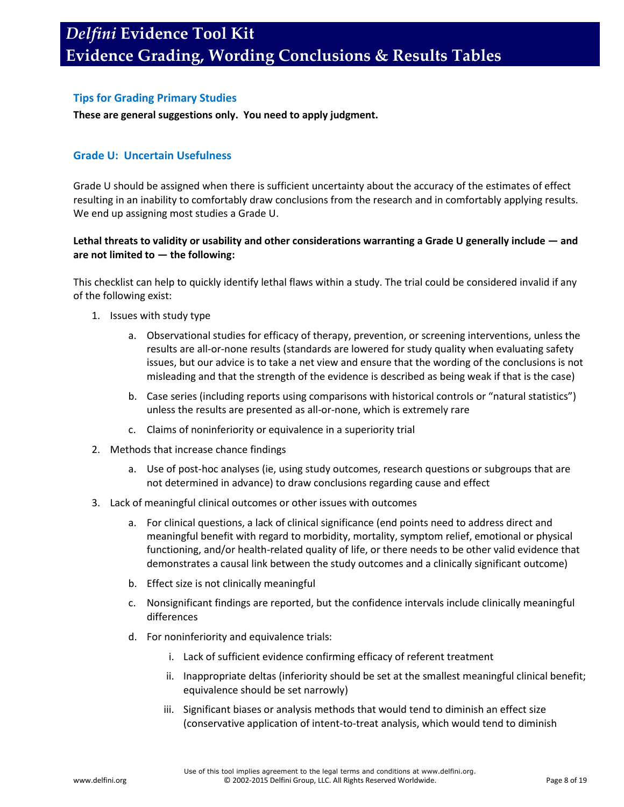### **Tips for Grading Primary Studies**

### **These are general suggestions only. You need to apply judgment.**

### **Grade U: Uncertain Usefulness**

Grade U should be assigned when there is sufficient uncertainty about the accuracy of the estimates of effect resulting in an inability to comfortably draw conclusions from the research and in comfortably applying results. We end up assigning most studies a Grade U.

### **Lethal threats to validity or usability and other considerations warranting a Grade U generally include — and are not limited to — the following:**

This checklist can help to quickly identify lethal flaws within a study. The trial could be considered invalid if any of the following exist:

- 1. Issues with study type
	- a. Observational studies for efficacy of therapy, prevention, or screening interventions, unless the results are all-or-none results (standards are lowered for study quality when evaluating safety issues, but our advice is to take a net view and ensure that the wording of the conclusions is not misleading and that the strength of the evidence is described as being weak if that is the case)
	- b. Case series (including reports using comparisons with historical controls or "natural statistics") unless the results are presented as all-or-none, which is extremely rare
	- c. Claims of noninferiority or equivalence in a superiority trial
- 2. Methods that increase chance findings
	- a. Use of post-hoc analyses (ie, using study outcomes, research questions or subgroups that are not determined in advance) to draw conclusions regarding cause and effect
- 3. Lack of meaningful clinical outcomes or other issues with outcomes
	- a. For clinical questions, a lack of clinical significance (end points need to address direct and meaningful benefit with regard to morbidity, mortality, symptom relief, emotional or physical functioning, and/or health-related quality of life, or there needs to be other valid evidence that demonstrates a causal link between the study outcomes and a clinically significant outcome)
	- b. Effect size is not clinically meaningful
	- c. Nonsignificant findings are reported, but the confidence intervals include clinically meaningful differences
	- d. For noninferiority and equivalence trials:
		- i. Lack of sufficient evidence confirming efficacy of referent treatment
		- ii. Inappropriate deltas (inferiority should be set at the smallest meaningful clinical benefit; equivalence should be set narrowly)
		- iii. Significant biases or analysis methods that would tend to diminish an effect size (conservative application of intent-to-treat analysis, which would tend to diminish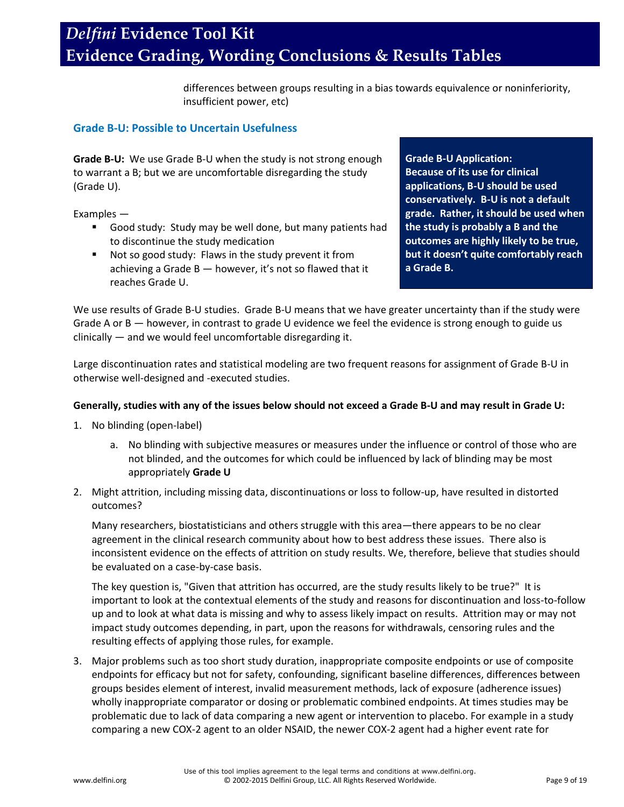differences between groups resulting in a bias towards equivalence or noninferiority, insufficient power, etc)

### **Grade B-U: Possible to Uncertain Usefulness**

**Grade B-U:** We use Grade B-U when the study is not strong enough to warrant a B; but we are uncomfortable disregarding the study (Grade U).

Examples —

- Good study: Study may be well done, but many patients had to discontinue the study medication
- Not so good study: Flaws in the study prevent it from achieving a Grade B — however, it's not so flawed that it reaches Grade U.

**Grade B-U Application: Because of its use for clinical applications, B-U should be used conservatively. B-U is not a default grade. Rather, it should be used when the study is probably a B and the outcomes are highly likely to be true, but it doesn't quite comfortably reach a Grade B.**

We use results of Grade B-U studies. Grade B-U means that we have greater uncertainty than if the study were Grade A or B — however, in contrast to grade U evidence we feel the evidence is strong enough to guide us clinically — and we would feel uncomfortable disregarding it.

Large discontinuation rates and statistical modeling are two frequent reasons for assignment of Grade B-U in otherwise well-designed and -executed studies.

### **Generally, studies with any of the issues below should not exceed a Grade B-U and may result in Grade U:**

- 1. No blinding (open-label)
	- a. No blinding with subjective measures or measures under the influence or control of those who are not blinded, and the outcomes for which could be influenced by lack of blinding may be most appropriately **Grade U**
- 2. Might attrition, including missing data, discontinuations or loss to follow-up, have resulted in distorted outcomes?

Many researchers, biostatisticians and others struggle with this area—there appears to be no clear agreement in the clinical research community about how to best address these issues. There also is inconsistent evidence on the effects of attrition on study results. We, therefore, believe that studies should be evaluated on a case-by-case basis.

The key question is, "Given that attrition has occurred, are the study results likely to be true?" It is important to look at the contextual elements of the study and reasons for discontinuation and loss-to-follow up and to look at what data is missing and why to assess likely impact on results. Attrition may or may not impact study outcomes depending, in part, upon the reasons for withdrawals, censoring rules and the resulting effects of applying those rules, for example.

3. Major problems such as too short study duration, inappropriate composite endpoints or use of composite endpoints for efficacy but not for safety, confounding, significant baseline differences, differences between groups besides element of interest, invalid measurement methods, lack of exposure (adherence issues) wholly inappropriate comparator or dosing or problematic combined endpoints. At times studies may be problematic due to lack of data comparing a new agent or intervention to placebo. For example in a study comparing a new COX-2 agent to an older NSAID, the newer COX-2 agent had a higher event rate for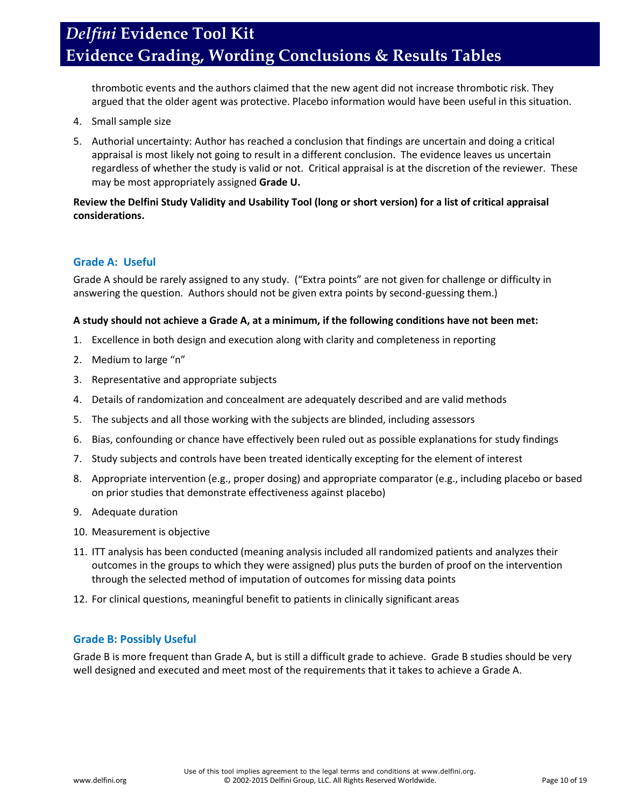thrombotic events and the authors claimed that the new agent did not increase thrombotic risk. They argued that the older agent was protective. Placebo information would have been useful in this situation.

- 4. Small sample size
- 5. Authorial uncertainty: Author has reached a conclusion that findings are uncertain and doing a critical appraisal is most likely not going to result in a different conclusion. The evidence leaves us uncertain regardless of whether the study is valid or not. Critical appraisal is at the discretion of the reviewer. These may be most appropriately assigned **Grade U.**

### **Review the Delfini Study Validity and Usability Tool (long or short version) for a list of critical appraisal considerations.**

### **Grade A: Useful**

Grade A should be rarely assigned to any study. ("Extra points" are not given for challenge or difficulty in answering the question. Authors should not be given extra points by second-guessing them.)

### **A study should not achieve a Grade A, at a minimum, if the following conditions have not been met:**

- 1. Excellence in both design and execution along with clarity and completeness in reporting
- 2. Medium to large "n"
- 3. Representative and appropriate subjects
- 4. Details of randomization and concealment are adequately described and are valid methods
- 5. The subjects and all those working with the subjects are blinded, including assessors
- 6. Bias, confounding or chance have effectively been ruled out as possible explanations for study findings
- 7. Study subjects and controls have been treated identically excepting for the element of interest
- 8. Appropriate intervention (e.g., proper dosing) and appropriate comparator (e.g., including placebo or based on prior studies that demonstrate effectiveness against placebo)
- 9. Adequate duration
- 10. Measurement is objective
- 11. ITT analysis has been conducted (meaning analysis included all randomized patients and analyzes their outcomes in the groups to which they were assigned) plus puts the burden of proof on the intervention through the selected method of imputation of outcomes for missing data points
- 12. For clinical questions, meaningful benefit to patients in clinically significant areas

### **Grade B: Possibly Useful**

Grade B is more frequent than Grade A, but is still a difficult grade to achieve. Grade B studies should be very well designed and executed and meet most of the requirements that it takes to achieve a Grade A.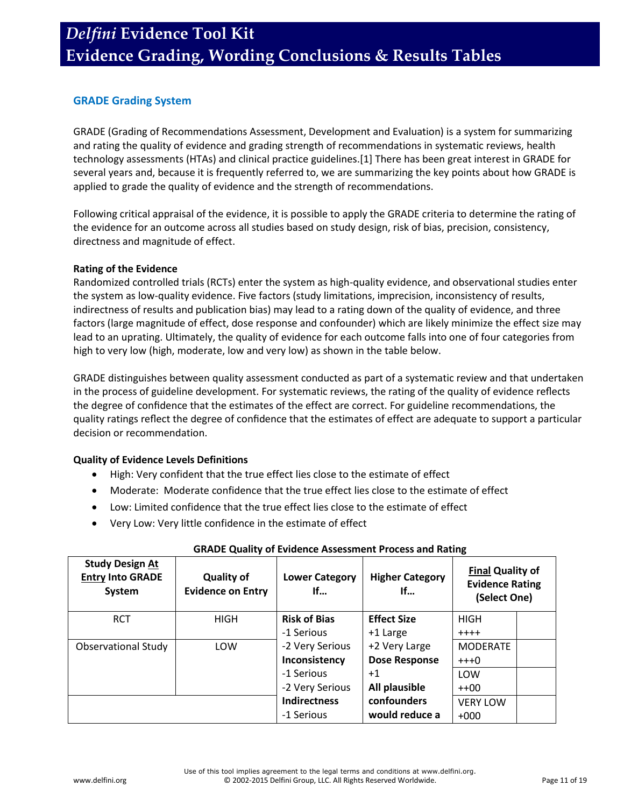## **GRADE Grading System**

GRADE (Grading of Recommendations Assessment, Development and Evaluation) is a system for summarizing and rating the quality of evidence and grading strength of recommendations in systematic reviews, health technology assessments (HTAs) and clinical practice guidelines.[1] There has been great interest in GRADE for several years and, because it is frequently referred to, we are summarizing the key points about how GRADE is applied to grade the quality of evidence and the strength of recommendations.

Following critical appraisal of the evidence, it is possible to apply the GRADE criteria to determine the rating of the evidence for an outcome across all studies based on study design, risk of bias, precision, consistency, directness and magnitude of effect.

### **Rating of the Evidence**

Randomized controlled trials (RCTs) enter the system as high-quality evidence, and observational studies enter the system as low-quality evidence. Five factors (study limitations, imprecision, inconsistency of results, indirectness of results and publication bias) may lead to a rating down of the quality of evidence, and three factors (large magnitude of effect, dose response and confounder) which are likely minimize the effect size may lead to an uprating. Ultimately, the quality of evidence for each outcome falls into one of four categories from high to very low (high, moderate, low and very low) as shown in the table below.

GRADE distinguishes between quality assessment conducted as part of a systematic review and that undertaken in the process of guideline development. For systematic reviews, the rating of the quality of evidence reflects the degree of confidence that the estimates of the effect are correct. For guideline recommendations, the quality ratings reflect the degree of confidence that the estimates of effect are adequate to support a particular decision or recommendation.

### **Quality of Evidence Levels Definitions**

- High: Very confident that the true effect lies close to the estimate of effect
- Moderate: Moderate confidence that the true effect lies close to the estimate of effect
- Low: Limited confidence that the true effect lies close to the estimate of effect
- Very Low: Very little confidence in the estimate of effect

| <b>Study Design At</b><br><b>Entry Into GRADE</b><br>System | <b>Quality of</b><br><b>Evidence on Entry</b> | <b>Lower Category</b><br>If | <b>Final Quality of</b><br><b>Higher Category</b><br><b>Evidence Rating</b><br>If<br>(Select One) |                 |  |
|-------------------------------------------------------------|-----------------------------------------------|-----------------------------|---------------------------------------------------------------------------------------------------|-----------------|--|
| <b>RCT</b>                                                  | HIGH                                          | <b>Risk of Bias</b>         | <b>Effect Size</b>                                                                                | <b>HIGH</b>     |  |
|                                                             |                                               | -1 Serious                  | +1 Large                                                                                          | $+ + + +$       |  |
| <b>Observational Study</b>                                  | LOW                                           | -2 Very Serious             | +2 Very Large                                                                                     | <b>MODERATE</b> |  |
|                                                             |                                               | Inconsistency               | <b>Dose Response</b>                                                                              | $+++0$          |  |
|                                                             |                                               | -1 Serious                  | $+1$                                                                                              | LOW             |  |
|                                                             |                                               | -2 Very Serious             | All plausible                                                                                     | $++00$          |  |
|                                                             |                                               | <b>Indirectness</b>         | confounders                                                                                       | <b>VERY LOW</b> |  |
|                                                             |                                               | -1 Serious                  | would reduce a                                                                                    | $+000$          |  |

### **GRADE Quality of Evidence Assessment Process and Rating**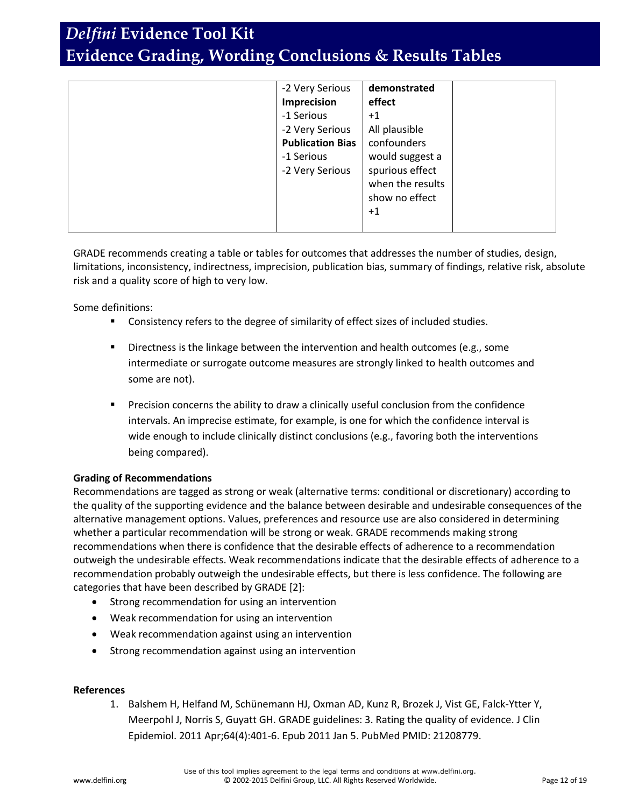|  | -2 Very Serious<br>Imprecision<br>-1 Serious<br>-2 Very Serious<br><b>Publication Bias</b><br>-1 Serious<br>-2 Very Serious | demonstrated<br>effect<br>$+1$<br>All plausible<br>confounders<br>would suggest a<br>spurious effect<br>when the results<br>show no effect<br>$+1$ |  |
|--|-----------------------------------------------------------------------------------------------------------------------------|----------------------------------------------------------------------------------------------------------------------------------------------------|--|
|--|-----------------------------------------------------------------------------------------------------------------------------|----------------------------------------------------------------------------------------------------------------------------------------------------|--|

GRADE recommends creating a table or tables for outcomes that addresses the number of studies, design, limitations, inconsistency, indirectness, imprecision, publication bias, summary of findings, relative risk, absolute risk and a quality score of high to very low.

Some definitions:

- Consistency refers to the degree of similarity of effect sizes of included studies.
- **Directness is the linkage between the intervention and health outcomes (e.g., some** intermediate or surrogate outcome measures are strongly linked to health outcomes and some are not).
- Precision concerns the ability to draw a clinically useful conclusion from the confidence intervals. An imprecise estimate, for example, is one for which the confidence interval is wide enough to include clinically distinct conclusions (e.g., favoring both the interventions being compared).

### **Grading of Recommendations**

Recommendations are tagged as strong or weak (alternative terms: conditional or discretionary) according to the quality of the supporting evidence and the balance between desirable and undesirable consequences of the alternative management options. Values, preferences and resource use are also considered in determining whether a particular recommendation will be strong or weak. GRADE recommends making strong recommendations when there is confidence that the desirable effects of adherence to a recommendation outweigh the undesirable effects. Weak recommendations indicate that the desirable effects of adherence to a recommendation probably outweigh the undesirable effects, but there is less confidence. The following are categories that have been described by GRADE [2]:

- Strong recommendation for using an intervention
- Weak recommendation for using an intervention
- Weak recommendation against using an intervention
- Strong recommendation against using an intervention

#### **References**

1. Balshem H, Helfand M, Schünemann HJ, Oxman AD, Kunz R, Brozek J, Vist GE, Falck-Ytter Y, Meerpohl J, Norris S, Guyatt GH. GRADE guidelines: 3. Rating the quality of evidence. J Clin Epidemiol. 2011 Apr;64(4):401-6. Epub 2011 Jan 5. PubMed PMID: 21208779.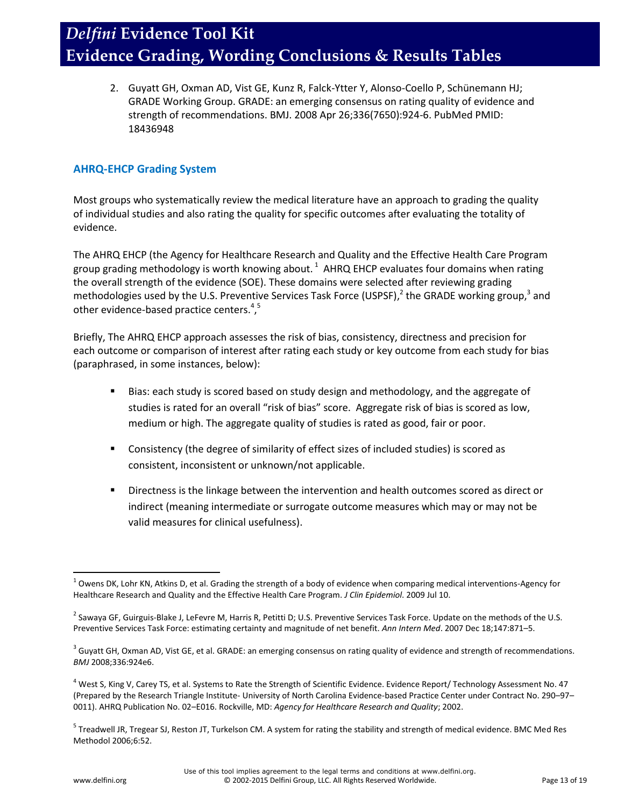2. Guyatt GH, Oxman AD, Vist GE, Kunz R, Falck-Ytter Y, Alonso-Coello P, Schünemann HJ; GRADE Working Group. GRADE: an emerging consensus on rating quality of evidence and strength of recommendations. BMJ. 2008 Apr 26;336(7650):924-6. PubMed PMID: 18436948

### **AHRQ-EHCP Grading System**

Most groups who systematically review the medical literature have an approach to grading the quality of individual studies and also rating the quality for specific outcomes after evaluating the totality of evidence.

The AHRQ EHCP (the Agency for Healthcare Research and Quality and the Effective Health Care Program group grading methodology is worth knowing about.  $^1$  AHRQ EHCP evaluates four domains when rating the overall strength of the evidence (SOE). These domains were selected after reviewing grading methodologies used by the U.S. Preventive Services Task Force (USPSF),<sup>2</sup> the GRADE working group,<sup>3</sup> and other evidence-based practice centers.<sup>4,5</sup>

Briefly, The AHRQ EHCP approach assesses the risk of bias, consistency, directness and precision for each outcome or comparison of interest after rating each study or key outcome from each study for bias (paraphrased, in some instances, below):

- **Bias: each study is scored based on study design and methodology, and the aggregate of** studies is rated for an overall "risk of bias" score. Aggregate risk of bias is scored as low, medium or high. The aggregate quality of studies is rated as good, fair or poor.
- Consistency (the degree of similarity of effect sizes of included studies) is scored as consistent, inconsistent or unknown/not applicable.
- **Directness is the linkage between the intervention and health outcomes scored as direct or** indirect (meaning intermediate or surrogate outcome measures which may or may not be valid measures for clinical usefulness).

 $\overline{\phantom{a}}$  $^1$  Owens DK, Lohr KN, Atkins D, et al. Grading the strength of a body of evidence when comparing medical interventions-Agency for Healthcare Research and Quality and the Effective Health Care Program. *J Clin Epidemiol*. 2009 Jul 10.

<sup>&</sup>lt;sup>2</sup> Sawaya GF, Guirguis-Blake J, LeFevre M, Harris R, Petitti D; U.S. Preventive Services Task Force. Update on the methods of the U.S. Preventive Services Task Force: estimating certainty and magnitude of net benefit. *Ann Intern Med*. 2007 Dec 18;147:871–5.

 $^3$  Guyatt GH, Oxman AD, Vist GE, et al. GRADE: an emerging consensus on rating quality of evidence and strength of recommendations. *BMJ* 2008;336:924e6.

<sup>&</sup>lt;sup>4</sup> West S, King V, Carey TS, et al. Systems to Rate the Strength of Scientific Evidence. Evidence Report/ Technology Assessment No. 47 (Prepared by the Research Triangle Institute- University of North Carolina Evidence-based Practice Center under Contract No. 290–97– 0011). AHRQ Publication No. 02–E016. Rockville, MD: *Agency for Healthcare Research and Quality*; 2002.

<sup>&</sup>lt;sup>5</sup> Treadwell JR, Tregear SJ, Reston JT, Turkelson CM. A system for rating the stability and strength of medical evidence. BMC Med Res Methodol 2006;6:52.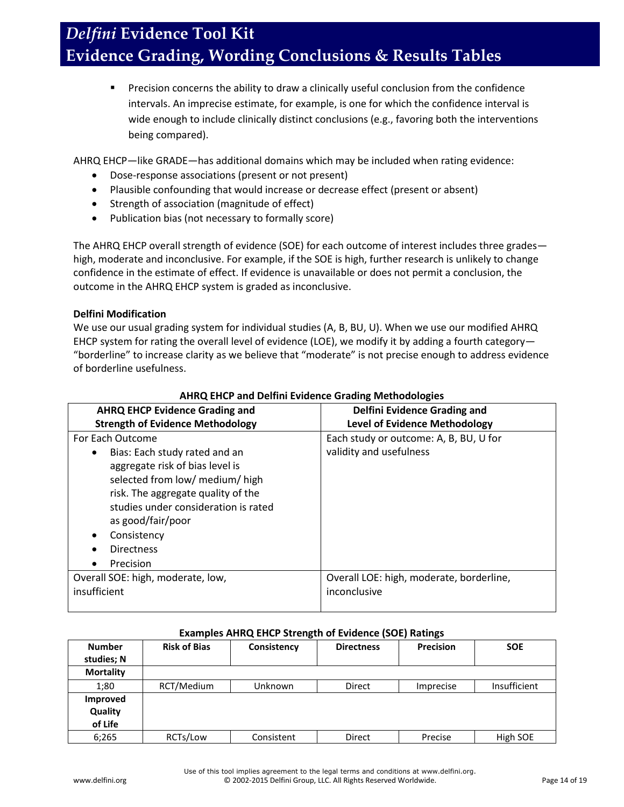**Precision concerns the ability to draw a clinically useful conclusion from the confidence** intervals. An imprecise estimate, for example, is one for which the confidence interval is wide enough to include clinically distinct conclusions (e.g., favoring both the interventions being compared).

AHRQ EHCP—like GRADE—has additional domains which may be included when rating evidence:

- Dose-response associations (present or not present)
- Plausible confounding that would increase or decrease effect (present or absent)
- Strength of association (magnitude of effect)
- Publication bias (not necessary to formally score)

The AHRQ EHCP overall strength of evidence (SOE) for each outcome of interest includes three grades high, moderate and inconclusive. For example, if the SOE is high, further research is unlikely to change confidence in the estimate of effect. If evidence is unavailable or does not permit a conclusion, the outcome in the AHRQ EHCP system is graded as inconclusive.

### **Delfini Modification**

We use our usual grading system for individual studies (A, B, BU, U). When we use our modified AHRQ EHCP system for rating the overall level of evidence (LOE), we modify it by adding a fourth category— "borderline" to increase clarity as we believe that "moderate" is not precise enough to address evidence of borderline usefulness.

| <b>AHRQ EHCP Evidence Grading and</b>   | <b>Delfini Evidence Grading and</b>      |  |  |
|-----------------------------------------|------------------------------------------|--|--|
| <b>Strength of Evidence Methodology</b> | <b>Level of Evidence Methodology</b>     |  |  |
| For Each Outcome                        | Each study or outcome: A, B, BU, U for   |  |  |
| Bias: Each study rated and an<br>٠      | validity and usefulness                  |  |  |
| aggregate risk of bias level is         |                                          |  |  |
| selected from low/ medium/ high         |                                          |  |  |
| risk. The aggregate quality of the      |                                          |  |  |
| studies under consideration is rated    |                                          |  |  |
| as good/fair/poor                       |                                          |  |  |
| Consistency                             |                                          |  |  |
| <b>Directness</b>                       |                                          |  |  |
| Precision<br>٠                          |                                          |  |  |
| Overall SOE: high, moderate, low,       | Overall LOE: high, moderate, borderline, |  |  |
| insufficient                            | inconclusive                             |  |  |
|                                         |                                          |  |  |

### **AHRQ EHCP and Delfini Evidence Grading Methodologies**

### **Examples AHRQ EHCP Strength of Evidence (SOE) Ratings**

| <b>Number</b><br>studies; N    | <b>Risk of Bias</b> | Consistency | <b>Directness</b> | Precision | <b>SOE</b>   |
|--------------------------------|---------------------|-------------|-------------------|-----------|--------------|
| <b>Mortality</b>               |                     |             |                   |           |              |
| 1;80                           | RCT/Medium          | Unknown     | <b>Direct</b>     | Imprecise | Insufficient |
| Improved<br>Quality<br>of Life |                     |             |                   |           |              |
| 6:265                          | RCTs/Low            | Consistent  | <b>Direct</b>     | Precise   | High SOE     |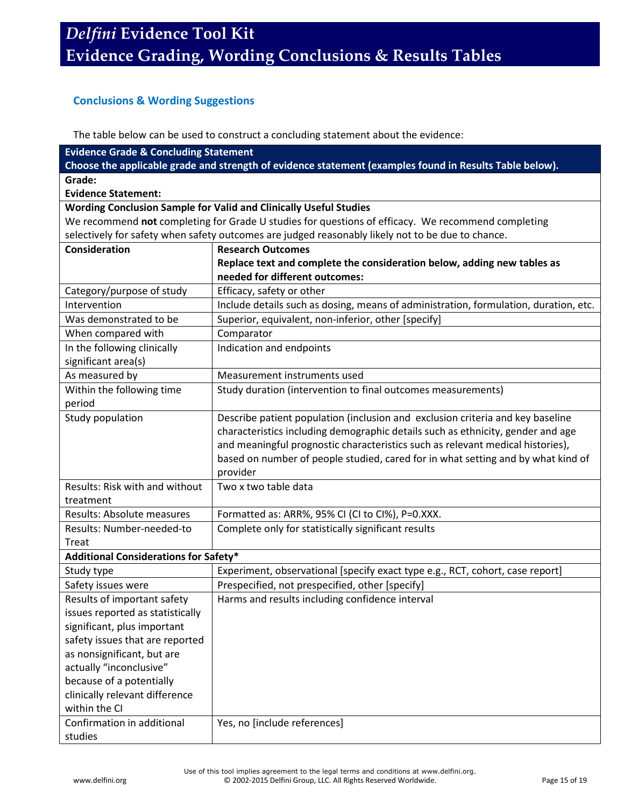## **Conclusions & Wording Suggestions**

The table below can be used to construct a concluding statement about the evidence:

| <b>Evidence Grade &amp; Concluding Statement</b> |                                                                                                         |
|--------------------------------------------------|---------------------------------------------------------------------------------------------------------|
|                                                  | Choose the applicable grade and strength of evidence statement (examples found in Results Table below). |
| Grade:                                           |                                                                                                         |
| <b>Evidence Statement:</b>                       |                                                                                                         |
|                                                  | Wording Conclusion Sample for Valid and Clinically Useful Studies                                       |
|                                                  | We recommend not completing for Grade U studies for questions of efficacy. We recommend completing      |
|                                                  | selectively for safety when safety outcomes are judged reasonably likely not to be due to chance.       |
| Consideration                                    | <b>Research Outcomes</b>                                                                                |
|                                                  | Replace text and complete the consideration below, adding new tables as                                 |
|                                                  | needed for different outcomes:                                                                          |
| Category/purpose of study                        | Efficacy, safety or other                                                                               |
| Intervention                                     | Include details such as dosing, means of administration, formulation, duration, etc.                    |
| Was demonstrated to be                           | Superior, equivalent, non-inferior, other [specify]                                                     |
| When compared with                               | Comparator                                                                                              |
| In the following clinically                      | Indication and endpoints                                                                                |
| significant area(s)                              |                                                                                                         |
| As measured by                                   | Measurement instruments used                                                                            |
| Within the following time                        | Study duration (intervention to final outcomes measurements)                                            |
| period                                           |                                                                                                         |
| Study population                                 | Describe patient population (inclusion and exclusion criteria and key baseline                          |
|                                                  | characteristics including demographic details such as ethnicity, gender and age                         |
|                                                  | and meaningful prognostic characteristics such as relevant medical histories),                          |
|                                                  | based on number of people studied, cared for in what setting and by what kind of                        |
|                                                  | provider                                                                                                |
| Results: Risk with and without                   | Two x two table data                                                                                    |
| treatment                                        |                                                                                                         |
| Results: Absolute measures                       | Formatted as: ARR%, 95% CI (CI to CI%), P=0.XXX.                                                        |
| Results: Number-needed-to                        | Complete only for statistically significant results                                                     |
| Treat                                            |                                                                                                         |
| <b>Additional Considerations for Safety*</b>     |                                                                                                         |
| Study type                                       | Experiment, observational [specify exact type e.g., RCT, cohort, case report]                           |
| Safety issues were                               | Prespecified, not prespecified, other [specify]                                                         |
| Results of important safety                      | Harms and results including confidence interval                                                         |
| issues reported as statistically                 |                                                                                                         |
| significant, plus important                      |                                                                                                         |
| safety issues that are reported                  |                                                                                                         |
| as nonsignificant, but are                       |                                                                                                         |
| actually "inconclusive"                          |                                                                                                         |
| because of a potentially                         |                                                                                                         |
| clinically relevant difference                   |                                                                                                         |
| within the CI                                    |                                                                                                         |
| Confirmation in additional                       | Yes, no [include references]                                                                            |
| studies                                          |                                                                                                         |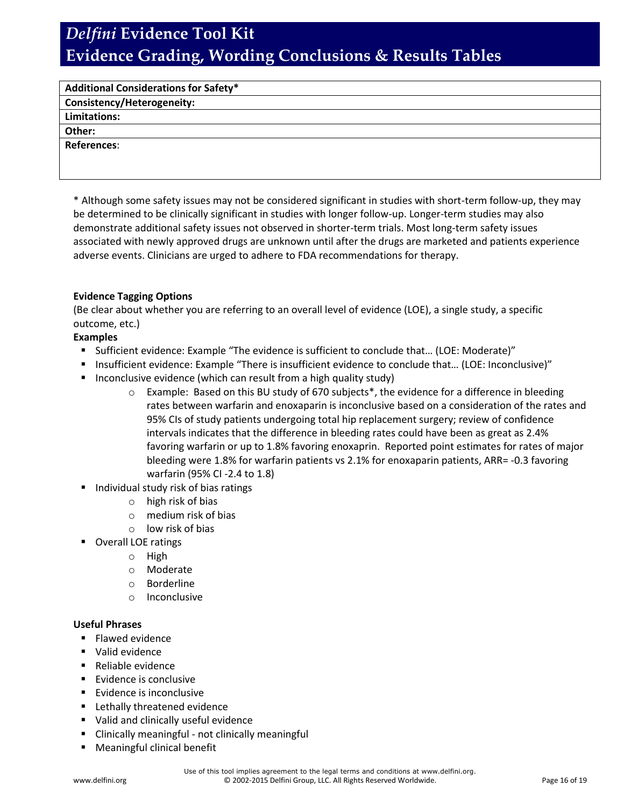| <b>Additional Considerations for Safety*</b> |  |
|----------------------------------------------|--|
| <b>Consistency/Heterogeneity:</b>            |  |
| <b>Limitations:</b>                          |  |
| Other:                                       |  |
| References:                                  |  |
|                                              |  |
|                                              |  |

\* Although some safety issues may not be considered significant in studies with short-term follow-up, they may be determined to be clinically significant in studies with longer follow-up. Longer-term studies may also demonstrate additional safety issues not observed in shorter-term trials. Most long-term safety issues associated with newly approved drugs are unknown until after the drugs are marketed and patients experience adverse events. Clinicians are urged to adhere to FDA recommendations for therapy.

### **Evidence Tagging Options**

(Be clear about whether you are referring to an overall level of evidence (LOE), a single study, a specific outcome, etc.)

### **Examples**

- Sufficient evidence: Example "The evidence is sufficient to conclude that… (LOE: Moderate)"
- Insufficient evidence: Example "There is insufficient evidence to conclude that... (LOE: Inconclusive)"
- Inconclusive evidence (which can result from a high quality study)
	- $\circ$  Example: Based on this BU study of 670 subjects<sup>\*</sup>, the evidence for a difference in bleeding rates between warfarin and enoxaparin is inconclusive based on a consideration of the rates and 95% CIs of study patients undergoing total hip replacement surgery; review of confidence intervals indicates that the difference in bleeding rates could have been as great as 2.4% favoring warfarin or up to 1.8% favoring enoxaprin. Reported point estimates for rates of major bleeding were 1.8% for warfarin patients vs 2.1% for enoxaparin patients, ARR= -0.3 favoring warfarin (95% CI -2.4 to 1.8)
- Individual study risk of bias ratings
	- o high risk of bias
	- o medium risk of bias
	- o low risk of bias
- Overall LOE ratings
	- o High
	- o Moderate
	- o Borderline
	- o Inconclusive

### **Useful Phrases**

- $F$  Flawed evidence
- **Valid evidence**
- Reliable evidence
- **Evidence is conclusive**
- **Evidence is inconclusive**
- **EXEC** Lethally threatened evidence
- Valid and clinically useful evidence
- **E** Clinically meaningful not clinically meaningful
- Meaningful clinical benefit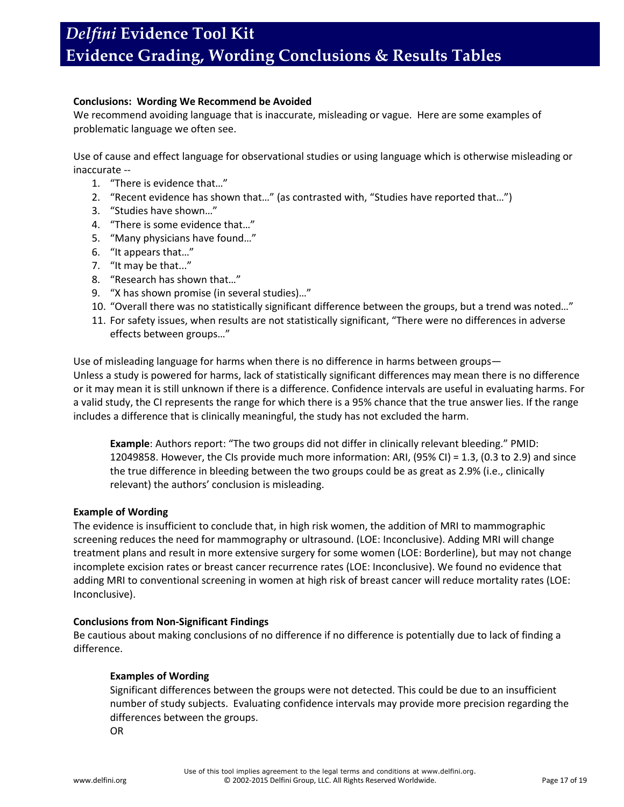### **Conclusions: Wording We Recommend be Avoided**

We recommend avoiding language that is inaccurate, misleading or vague. Here are some examples of problematic language we often see.

Use of cause and effect language for observational studies or using language which is otherwise misleading or inaccurate --

- 1. "There is evidence that…"
- 2. "Recent evidence has shown that…" (as contrasted with, "Studies have reported that…")
- 3. "Studies have shown…"
- 4. "There is some evidence that…"
- 5. "Many physicians have found…"
- 6. "It appears that…"
- 7. "It may be that..."
- 8. "Research has shown that…"
- 9. "X has shown promise (in several studies)…"
- 10. "Overall there was no statistically significant difference between the groups, but a trend was noted…"
- 11. For safety issues, when results are not statistically significant, "There were no differences in adverse effects between groups…"

Use of misleading language for harms when there is no difference in harms between groups—

Unless a study is powered for harms, lack of statistically significant differences may mean there is no difference or it may mean it is still unknown if there is a difference. Confidence intervals are useful in evaluating harms. For a valid study, the CI represents the range for which there is a 95% chance that the true answer lies. If the range includes a difference that is clinically meaningful, the study has not excluded the harm.

**Example**: Authors report: "The two groups did not differ in clinically relevant bleeding." PMID: 12049858. However, the CIs provide much more information: ARI, (95% CI) = 1.3, (0.3 to 2.9) and since the true difference in bleeding between the two groups could be as great as 2.9% (i.e., clinically relevant) the authors' conclusion is misleading.

#### **Example of Wording**

The evidence is insufficient to conclude that, in high risk women, the addition of MRI to mammographic screening reduces the need for mammography or ultrasound. (LOE: Inconclusive). Adding MRI will change treatment plans and result in more extensive surgery for some women (LOE: Borderline), but may not change incomplete excision rates or breast cancer recurrence rates (LOE: Inconclusive). We found no evidence that adding MRI to conventional screening in women at high risk of breast cancer will reduce mortality rates (LOE: Inconclusive).

#### **Conclusions from Non-Significant Findings**

Be cautious about making conclusions of no difference if no difference is potentially due to lack of finding a difference.

#### **Examples of Wording**

Significant differences between the groups were not detected. This could be due to an insufficient number of study subjects. Evaluating confidence intervals may provide more precision regarding the differences between the groups.

OR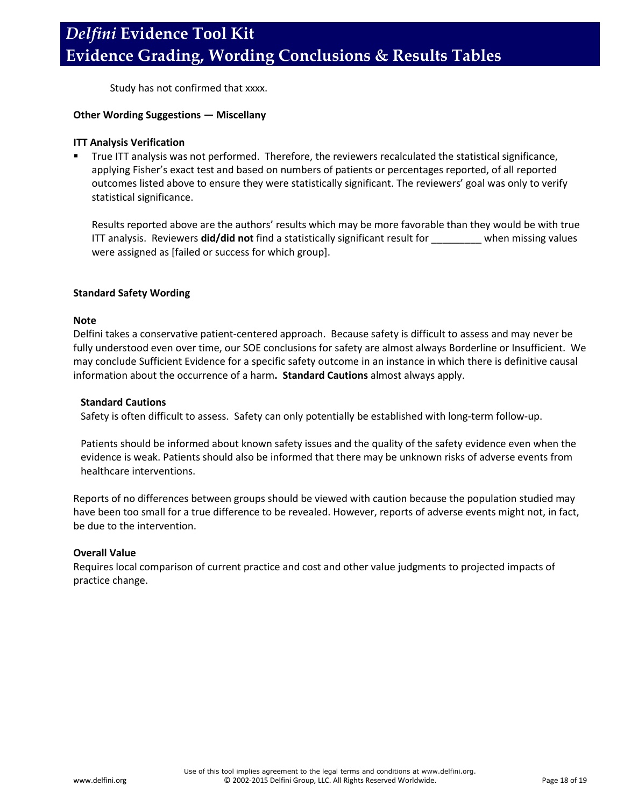Study has not confirmed that xxxx.

### **Other Wording Suggestions ― Miscellany**

### **ITT Analysis Verification**

 True ITT analysis was not performed. Therefore, the reviewers recalculated the statistical significance, applying Fisher's exact test and based on numbers of patients or percentages reported, of all reported outcomes listed above to ensure they were statistically significant. The reviewers' goal was only to verify statistical significance.

Results reported above are the authors' results which may be more favorable than they would be with true ITT analysis. Reviewers **did/did not** find a statistically significant result for \_\_\_\_\_\_\_\_\_ when missing values were assigned as [failed or success for which group].

### **Standard Safety Wording**

#### **Note**

Delfini takes a conservative patient-centered approach. Because safety is difficult to assess and may never be fully understood even over time, our SOE conclusions for safety are almost always Borderline or Insufficient. We may conclude Sufficient Evidence for a specific safety outcome in an instance in which there is definitive causal information about the occurrence of a harm**. Standard Cautions** almost always apply.

### **Standard Cautions**

Safety is often difficult to assess. Safety can only potentially be established with long-term follow-up.

Patients should be informed about known safety issues and the quality of the safety evidence even when the evidence is weak. Patients should also be informed that there may be unknown risks of adverse events from healthcare interventions.

Reports of no differences between groups should be viewed with caution because the population studied may have been too small for a true difference to be revealed. However, reports of adverse events might not, in fact, be due to the intervention.

### **Overall Value**

Requires local comparison of current practice and cost and other value judgments to projected impacts of practice change.